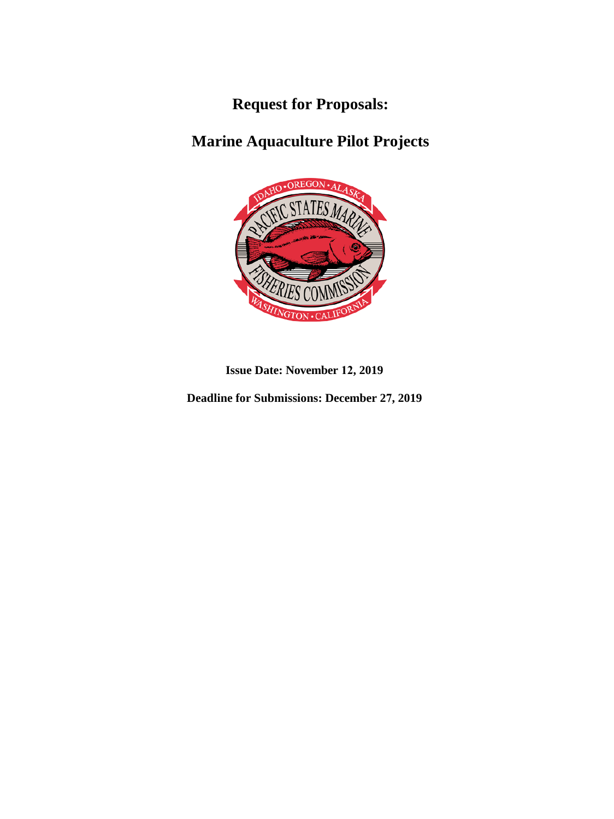**Request for Proposals:**

# **Marine Aquaculture Pilot Projects**



**Issue Date: November 12, 2019** 

**Deadline for Submissions: December 27, 2019**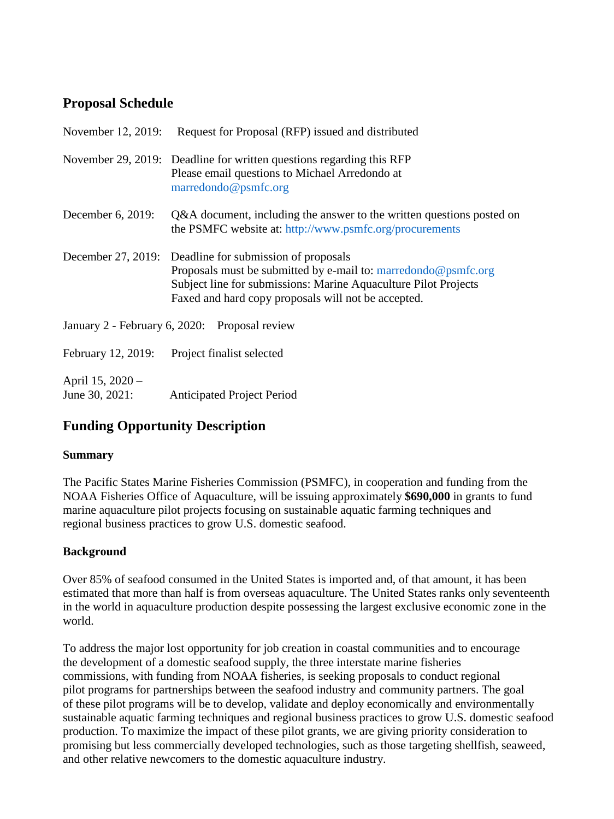## **Proposal Schedule**

| November 12, 2019:                            | Request for Proposal (RFP) issued and distributed                                                                                                                                                                                |
|-----------------------------------------------|----------------------------------------------------------------------------------------------------------------------------------------------------------------------------------------------------------------------------------|
|                                               | November 29, 2019: Deadline for written questions regarding this RFP<br>Please email questions to Michael Arredondo at<br>marredondo@psmfc.org                                                                                   |
| December 6, 2019:                             | Q&A document, including the answer to the written questions posted on<br>the PSMFC website at: http://www.psmfc.org/procurements                                                                                                 |
| December 27, 2019:                            | Deadline for submission of proposals<br>Proposals must be submitted by e-mail to: marredondo@psmfc.org<br>Subject line for submissions: Marine Aquaculture Pilot Projects<br>Faxed and hard copy proposals will not be accepted. |
| January 2 - February 6, 2020: Proposal review |                                                                                                                                                                                                                                  |
| February 12, 2019:                            | Project finalist selected                                                                                                                                                                                                        |
| April 15, 2020 –<br>June 30, 2021:            | <b>Anticipated Project Period</b>                                                                                                                                                                                                |

## **Funding Opportunity Description**

### **Summary**

The Pacific States Marine Fisheries Commission (PSMFC), in cooperation and funding from the NOAA Fisheries Office of Aquaculture, will be issuing approximately **\$690,000** in grants to fund marine aquaculture pilot projects focusing on sustainable aquatic farming techniques and regional business practices to grow U.S. domestic seafood.

## **Background**

Over 85% of seafood consumed in the United States is imported and, of that amount, it has been estimated that more than half is from overseas aquaculture. The United States ranks only seventeenth in the world in aquaculture production despite possessing the largest exclusive economic zone in the world.

To address the major lost opportunity for job creation in coastal communities and to encourage the development of a domestic seafood supply, the three interstate marine fisheries commissions, with funding from NOAA fisheries, is seeking proposals to conduct regional pilot programs for partnerships between the seafood industry and community partners. The goal of these pilot programs will be to develop, validate and deploy economically and environmentally sustainable aquatic farming techniques and regional business practices to grow U.S. domestic seafood production. To maximize the impact of these pilot grants, we are giving priority consideration to promising but less commercially developed technologies, such as those targeting shellfish, seaweed, and other relative newcomers to the domestic aquaculture industry.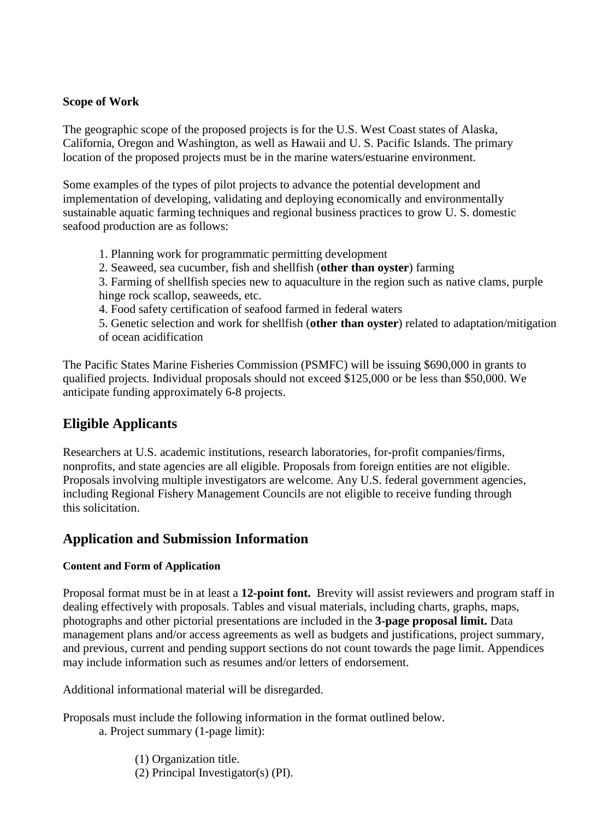#### **Scope of Work**

The geographic scope of the proposed projects is for the U.S. West Coast states of Alaska, California, Oregon and Washington, as well as Hawaii and U. S. Pacific Islands. The primary location of the proposed projects must be in the marine waters/estuarine environment.

Some examples of the types of pilot projects to advance the potential development and implementation of developing, validating and deploying economically and environmentally sustainable aquatic farming techniques and regional business practices to grow U. S. domestic seafood production are as follows:

- 1. Planning work for programmatic permitting development
- 2. Seaweed, sea cucumber, fish and shellfish (**other than oyster**) farming

3. Farming of shellfish species new to aquaculture in the region such as native clams, purple hinge rock scallop, seaweeds, etc.

4. Food safety certification of seafood farmed in federal waters

5. Genetic selection and work for shellfish (**other than oyster**) related to adaptation/mitigation of ocean acidification

The Pacific States Marine Fisheries Commission (PSMFC) will be issuing \$690,000 in grants to qualified projects. Individual proposals should not exceed \$125,000 or be less than \$50,000. We anticipate funding approximately 6-8 projects.

## **Eligible Applicants**

Researchers at U.S. academic institutions, research laboratories, for-profit companies/firms, nonprofits, and state agencies are all eligible. Proposals from foreign entities are not eligible. Proposals involving multiple investigators are welcome. Any U.S. federal government agencies, including Regional Fishery Management Councils are not eligible to receive funding through this solicitation.

### **Application and Submission Information**

#### **Content and Form of Application**

Proposal format must be in at least a **12-point font.** Brevity will assist reviewers and program staff in dealing effectively with proposals. Tables and visual materials, including charts, graphs, maps, photographs and other pictorial presentations are included in the **3-page proposal limit.** Data management plans and/or access agreements as well as budgets and justifications, project summary, and previous, current and pending support sections do not count towards the page limit. Appendices may include information such as resumes and/or letters of endorsement.

Additional informational material will be disregarded.

Proposals must include the following information in the format outlined below.

- a. Project summary (1-page limit):
	- (1) Organization title.
	- (2) Principal Investigator(s) (PI).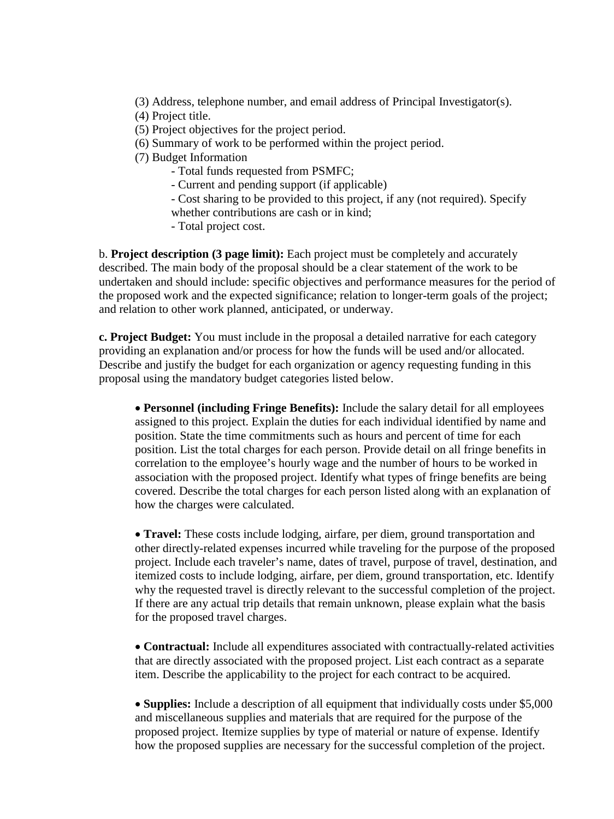- (3) Address, telephone number, and email address of Principal Investigator(s).
- (4) Project title.
- (5) Project objectives for the project period.
- (6) Summary of work to be performed within the project period.
- (7) Budget Information
	- Total funds requested from PSMFC;
	- Current and pending support (if applicable)
	- Cost sharing to be provided to this project, if any (not required). Specify whether contributions are cash or in kind;
	- Total project cost.

b. **Project description (3 page limit):** Each project must be completely and accurately described. The main body of the proposal should be a clear statement of the work to be undertaken and should include: specific objectives and performance measures for the period of the proposed work and the expected significance; relation to longer-term goals of the project; and relation to other work planned, anticipated, or underway.

**c. Project Budget:** You must include in the proposal a detailed narrative for each category providing an explanation and/or process for how the funds will be used and/or allocated. Describe and justify the budget for each organization or agency requesting funding in this proposal using the mandatory budget categories listed below.

• **Personnel (including Fringe Benefits):** Include the salary detail for all employees assigned to this project. Explain the duties for each individual identified by name and position. State the time commitments such as hours and percent of time for each position. List the total charges for each person. Provide detail on all fringe benefits in correlation to the employee's hourly wage and the number of hours to be worked in association with the proposed project. Identify what types of fringe benefits are being covered. Describe the total charges for each person listed along with an explanation of how the charges were calculated.

• **Travel:** These costs include lodging, airfare, per diem, ground transportation and other directly-related expenses incurred while traveling for the purpose of the proposed project. Include each traveler's name, dates of travel, purpose of travel, destination, and itemized costs to include lodging, airfare, per diem, ground transportation, etc. Identify why the requested travel is directly relevant to the successful completion of the project. If there are any actual trip details that remain unknown, please explain what the basis for the proposed travel charges.

• **Contractual:** Include all expenditures associated with contractually-related activities that are directly associated with the proposed project. List each contract as a separate item. Describe the applicability to the project for each contract to be acquired.

• **Supplies:** Include a description of all equipment that individually costs under \$5,000 and miscellaneous supplies and materials that are required for the purpose of the proposed project. Itemize supplies by type of material or nature of expense. Identify how the proposed supplies are necessary for the successful completion of the project.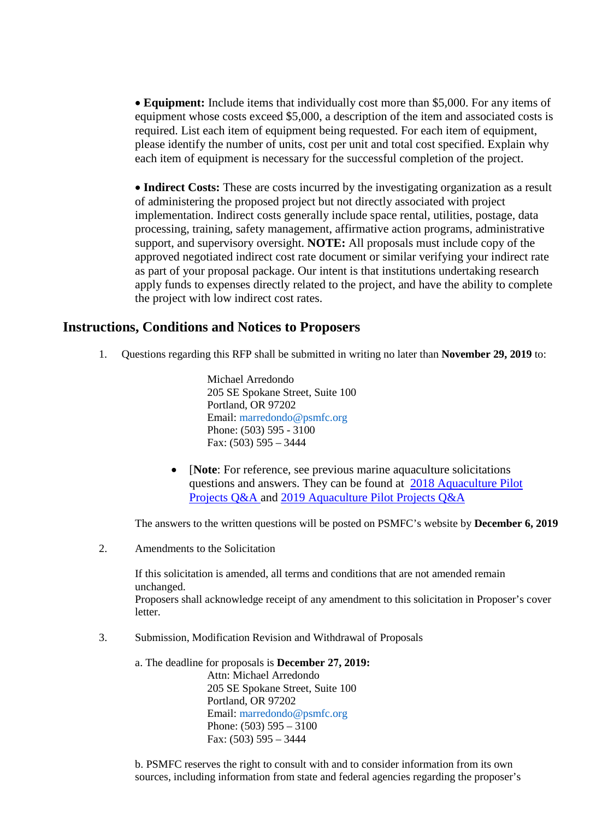• **Equipment:** Include items that individually cost more than \$5,000. For any items of equipment whose costs exceed \$5,000, a description of the item and associated costs is required. List each item of equipment being requested. For each item of equipment, please identify the number of units, cost per unit and total cost specified. Explain why each item of equipment is necessary for the successful completion of the project.

• **Indirect Costs:** These are costs incurred by the investigating organization as a result of administering the proposed project but not directly associated with project implementation. Indirect costs generally include space rental, utilities, postage, data processing, training, safety management, affirmative action programs, administrative support, and supervisory oversight. **NOTE:** All proposals must include copy of the approved negotiated indirect cost rate document or similar verifying your indirect rate as part of your proposal package. Our intent is that institutions undertaking research apply funds to expenses directly related to the project, and have the ability to complete the project with low indirect cost rates.

### **Instructions, Conditions and Notices to Proposers**

1. Questions regarding this RFP shall be submitted in writing no later than **November 29, 2019** to:

Michael Arredondo 205 SE Spokane Street, Suite 100 Portland, OR 97202 Email: marredondo@psmfc.org Phone: (503) 595 - 3100 Fax: (503) 595 – 3444

• **[Note:** For reference, see previous marine aquaculture solicitations questions and answers. They can be found at [2018 Aquaculture Pilot](http://www.psmfc.org/wp-content/uploads/2017/12/Aquaculture-Pilot-Projects-QA-Final-1-12-18-corrected.pdf) [Projects Q&A](http://www.psmfc.org/wp-content/uploads/2017/12/Aquaculture-Pilot-Projects-QA-Final-1-12-18-corrected.pdf) and [2019 Aquaculture Pilot Projects Q&A](http://www.psmfc.org/wp-content/uploads/2019/02/PSMFC-Aquaculture-RFP-QA-3-29-19.pdf)

The answers to the written questions will be posted on PSMFC's website by **December 6, 2019** 

2. Amendments to the Solicitation

If this solicitation is amended, all terms and conditions that are not amended remain unchanged. Proposers shall acknowledge receipt of any amendment to this solicitation in Proposer's cover letter.

3. Submission, Modification Revision and Withdrawal of Proposals

a. The deadline for proposals is **December 27, 2019:** Attn: Michael Arredondo 205 SE Spokane Street, Suite 100 Portland, OR 97202 Email: marredondo@psmfc.org Phone: (503) 595 – 3100 Fax: (503) 595 – 3444

b. PSMFC reserves the right to consult with and to consider information from its own sources, including information from state and federal agencies regarding the proposer's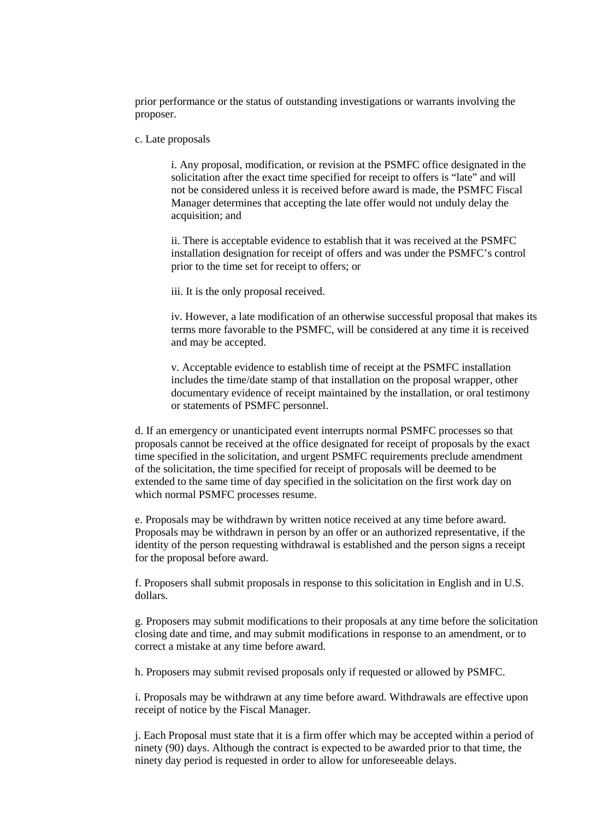prior performance or the status of outstanding investigations or warrants involving the proposer.

#### c. Late proposals

i. Any proposal, modification, or revision at the PSMFC office designated in the solicitation after the exact time specified for receipt to offers is "late" and will not be considered unless it is received before award is made, the PSMFC Fiscal Manager determines that accepting the late offer would not unduly delay the acquisition; and

ii. There is acceptable evidence to establish that it was received at the PSMFC installation designation for receipt of offers and was under the PSMFC's control prior to the time set for receipt to offers; or

iii. It is the only proposal received.

iv. However, a late modification of an otherwise successful proposal that makes its terms more favorable to the PSMFC, will be considered at any time it is received and may be accepted.

v. Acceptable evidence to establish time of receipt at the PSMFC installation includes the time/date stamp of that installation on the proposal wrapper, other documentary evidence of receipt maintained by the installation, or oral testimony or statements of PSMFC personnel.

d. If an emergency or unanticipated event interrupts normal PSMFC processes so that proposals cannot be received at the office designated for receipt of proposals by the exact time specified in the solicitation, and urgent PSMFC requirements preclude amendment of the solicitation, the time specified for receipt of proposals will be deemed to be extended to the same time of day specified in the solicitation on the first work day on which normal PSMFC processes resume.

e. Proposals may be withdrawn by written notice received at any time before award. Proposals may be withdrawn in person by an offer or an authorized representative, if the identity of the person requesting withdrawal is established and the person signs a receipt for the proposal before award.

f. Proposers shall submit proposals in response to this solicitation in English and in U.S. dollars.

g. Proposers may submit modifications to their proposals at any time before the solicitation closing date and time, and may submit modifications in response to an amendment, or to correct a mistake at any time before award.

h. Proposers may submit revised proposals only if requested or allowed by PSMFC.

i. Proposals may be withdrawn at any time before award. Withdrawals are effective upon receipt of notice by the Fiscal Manager.

j. Each Proposal must state that it is a firm offer which may be accepted within a period of ninety (90) days. Although the contract is expected to be awarded prior to that time, the ninety day period is requested in order to allow for unforeseeable delays.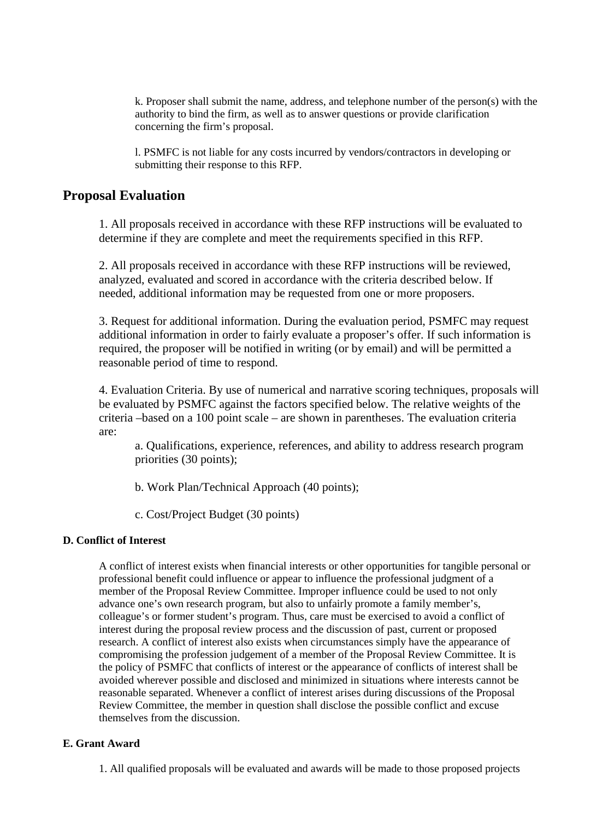k. Proposer shall submit the name, address, and telephone number of the person(s) with the authority to bind the firm, as well as to answer questions or provide clarification concerning the firm's proposal.

l. PSMFC is not liable for any costs incurred by vendors/contractors in developing or submitting their response to this RFP.

#### **Proposal Evaluation**

1. All proposals received in accordance with these RFP instructions will be evaluated to determine if they are complete and meet the requirements specified in this RFP.

2. All proposals received in accordance with these RFP instructions will be reviewed, analyzed, evaluated and scored in accordance with the criteria described below. If needed, additional information may be requested from one or more proposers.

3. Request for additional information. During the evaluation period, PSMFC may request additional information in order to fairly evaluate a proposer's offer. If such information is required, the proposer will be notified in writing (or by email) and will be permitted a reasonable period of time to respond.

4. Evaluation Criteria. By use of numerical and narrative scoring techniques, proposals will be evaluated by PSMFC against the factors specified below. The relative weights of the criteria –based on a 100 point scale – are shown in parentheses. The evaluation criteria are:

a. Qualifications, experience, references, and ability to address research program priorities (30 points);

b. Work Plan/Technical Approach (40 points);

c. Cost/Project Budget (30 points)

#### **D. Conflict of Interest**

A conflict of interest exists when financial interests or other opportunities for tangible personal or professional benefit could influence or appear to influence the professional judgment of a member of the Proposal Review Committee. Improper influence could be used to not only advance one's own research program, but also to unfairly promote a family member's, colleague's or former student's program. Thus, care must be exercised to avoid a conflict of interest during the proposal review process and the discussion of past, current or proposed research. A conflict of interest also exists when circumstances simply have the appearance of compromising the profession judgement of a member of the Proposal Review Committee. It is the policy of PSMFC that conflicts of interest or the appearance of conflicts of interest shall be avoided wherever possible and disclosed and minimized in situations where interests cannot be reasonable separated. Whenever a conflict of interest arises during discussions of the Proposal Review Committee, the member in question shall disclose the possible conflict and excuse themselves from the discussion.

#### **E. Grant Award**

1. All qualified proposals will be evaluated and awards will be made to those proposed projects